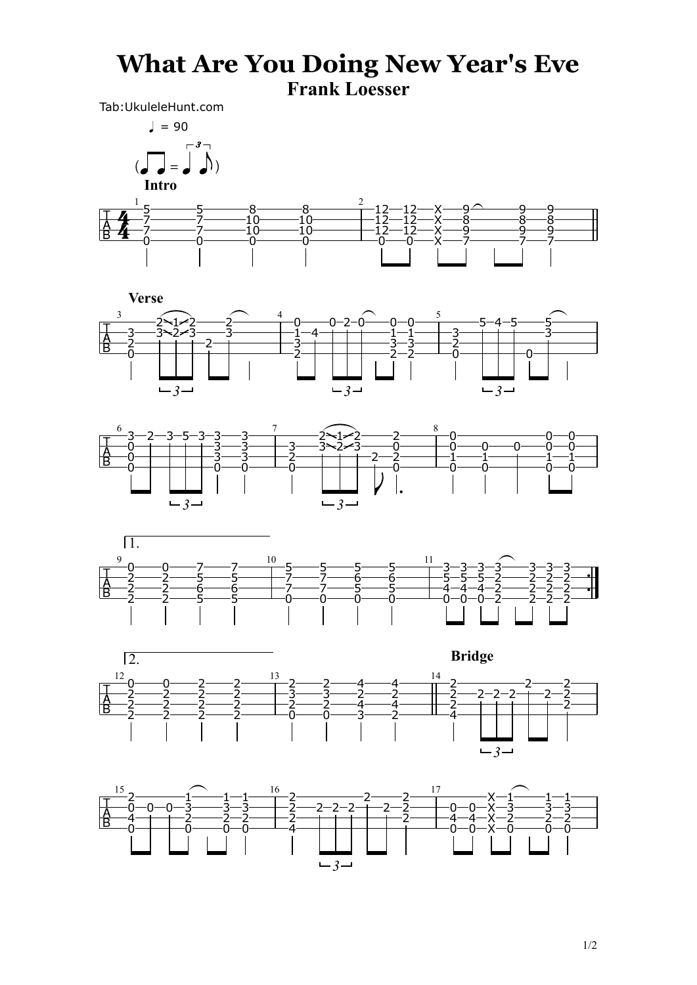## **What Are You Doing New Year's Eve Frank Loesser**

Tab:UkuleleHunt.com

1/2